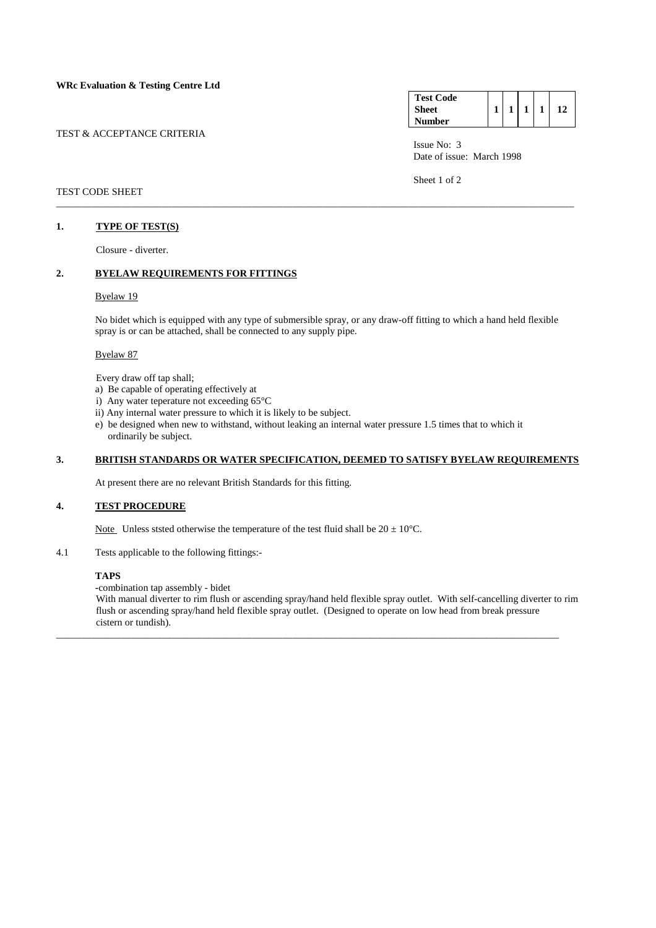### TEST & ACCEPTANCE CRITERIA

| <b>Test Code</b> |  |  |  |
|------------------|--|--|--|
| Sheet            |  |  |  |
| Number           |  |  |  |

 Issue No: 3 Date of issue: March 1998

Sheet 1 of 2

### TEST CODE SHEET

## **1. TYPE OF TEST(S)**

Closure - diverter.

## **2. BYELAW REQUIREMENTS FOR FITTINGS**

### Byelaw 19

 No bidet which is equipped with any type of submersible spray, or any draw-off fitting to which a hand held flexible spray is or can be attached, shall be connected to any supply pipe.

\_\_\_\_\_\_\_\_\_\_\_\_\_\_\_\_\_\_\_\_\_\_\_\_\_\_\_\_\_\_\_\_\_\_\_\_\_\_\_\_\_\_\_\_\_\_\_\_\_\_\_\_\_\_\_\_\_\_\_\_\_\_\_\_\_\_\_\_\_\_\_\_\_\_\_\_\_\_\_\_\_\_\_\_\_\_\_\_\_\_\_\_\_\_\_\_\_\_\_\_\_\_\_

#### Byelaw 87

Every draw off tap shall;

- a) Be capable of operating effectively at
- i) Any water teperature not exceeding 65°C
- ii) Any internal water pressure to which it is likely to be subject.
- e) be designed when new to withstand, without leaking an internal water pressure 1.5 times that to which it ordinarily be subject.

# **3. BRITISH STANDARDS OR WATER SPECIFICATION, DEEMED TO SATISFY BYELAW REQUIREMENTS**

At present there are no relevant British Standards for this fitting.

### **4. TEST PROCEDURE**

Note Unless ststed otherwise the temperature of the test fluid shall be  $20 \pm 10^{\circ}$ C.

4.1 Tests applicable to the following fittings:-

### **TAPS**

 **-**combination tap assembly - bidet

 With manual diverter to rim flush or ascending spray/hand held flexible spray outlet. With self-cancelling diverter to rim flush or ascending spray/hand held flexible spray outlet. (Designed to operate on low head from break pressure cistern or tundish).

\_\_\_\_\_\_\_\_\_\_\_\_\_\_\_\_\_\_\_\_\_\_\_\_\_\_\_\_\_\_\_\_\_\_\_\_\_\_\_\_\_\_\_\_\_\_\_\_\_\_\_\_\_\_\_\_\_\_\_\_\_\_\_\_\_\_\_\_\_\_\_\_\_\_\_\_\_\_\_\_\_\_\_\_\_\_\_\_\_\_\_\_\_\_\_\_\_\_\_\_